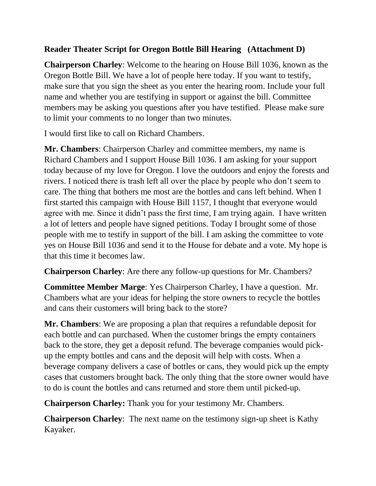## **Reader Theater Script for Oregon Bottle Bill Hearing (Attachment D)**

**Chairperson Charley**: Welcome to the hearing on House Bill 1036, known as the Oregon Bottle Bill. We have a lot of people here today. If you want to testify, make sure that you sign the sheet as you enter the hearing room. Include your full name and whether you are testifying in support or against the bill. Committee members may be asking you questions after you have testified. Please make sure to limit your comments to no longer than two minutes.

I would first like to call on Richard Chambers.

**Mr. Chambers**: Chairperson Charley and committee members, my name is Richard Chambers and I support House Bill 1036. I am asking for your support today because of my love for Oregon. I love the outdoors and enjoy the forests and rivers. I noticed there is trash left all over the place by people who don't seem to care. The thing that bothers me most are the bottles and cans left behind. When I first started this campaign with House Bill 1157, I thought that everyone would agree with me. Since it didn't pass the first time, I am trying again. I have written a lot of letters and people have signed petitions. Today I brought some of those people with me to testify in support of the bill. I am asking the committee to vote yes on House Bill 1036 and send it to the House for debate and a vote. My hope is that this time it becomes law.

**Chairperson Charley**: Are there any follow-up questions for Mr. Chambers?

**Committee Member Marge**: Yes Chairperson Charley, I have a question. Mr. Chambers what are your ideas for helping the store owners to recycle the bottles and cans their customers will bring back to the store?

**Mr. Chambers**: We are proposing a plan that requires a refundable deposit for each bottle and can purchased. When the customer brings the empty containers back to the store, they get a deposit refund. The beverage companies would pickup the empty bottles and cans and the deposit will help with costs. When a beverage company delivers a case of bottles or cans, they would pick up the empty cases that customers brought back. The only thing that the store owner would have to do is count the bottles and cans returned and store them until picked-up.

**Chairperson Charley:** Thank you for your testimony Mr. Chambers.

**Chairperson Charley**: The next name on the testimony sign-up sheet is Kathy Kayaker.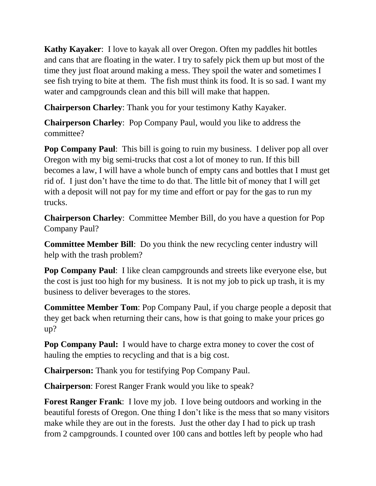**Kathy Kayaker**: I love to kayak all over Oregon. Often my paddles hit bottles and cans that are floating in the water. I try to safely pick them up but most of the time they just float around making a mess. They spoil the water and sometimes I see fish trying to bite at them. The fish must think its food. It is so sad. I want my water and campgrounds clean and this bill will make that happen.

**Chairperson Charley**: Thank you for your testimony Kathy Kayaker.

**Chairperson Charley**: Pop Company Paul, would you like to address the committee?

**Pop Company Paul**: This bill is going to ruin my business. I deliver pop all over Oregon with my big semi-trucks that cost a lot of money to run. If this bill becomes a law, I will have a whole bunch of empty cans and bottles that I must get rid of. I just don't have the time to do that. The little bit of money that I will get with a deposit will not pay for my time and effort or pay for the gas to run my trucks.

**Chairperson Charley**: Committee Member Bill, do you have a question for Pop Company Paul?

**Committee Member Bill**: Do you think the new recycling center industry will help with the trash problem?

**Pop Company Paul**: I like clean campgrounds and streets like everyone else, but the cost is just too high for my business. It is not my job to pick up trash, it is my business to deliver beverages to the stores.

**Committee Member Tom**: Pop Company Paul, if you charge people a deposit that they get back when returning their cans, how is that going to make your prices go up?

**Pop Company Paul:** I would have to charge extra money to cover the cost of hauling the empties to recycling and that is a big cost.

**Chairperson:** Thank you for testifying Pop Company Paul.

**Chairperson**: Forest Ranger Frank would you like to speak?

**Forest Ranger Frank**: I love my job. I love being outdoors and working in the beautiful forests of Oregon. One thing I don't like is the mess that so many visitors make while they are out in the forests. Just the other day I had to pick up trash from 2 campgrounds. I counted over 100 cans and bottles left by people who had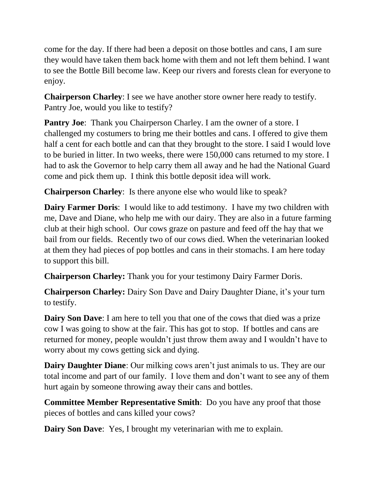come for the day. If there had been a deposit on those bottles and cans, I am sure they would have taken them back home with them and not left them behind. I want to see the Bottle Bill become law. Keep our rivers and forests clean for everyone to enjoy.

**Chairperson Charley**: I see we have another store owner here ready to testify. Pantry Joe, would you like to testify?

**Pantry Joe:** Thank you Chairperson Charley. I am the owner of a store. I challenged my costumers to bring me their bottles and cans. I offered to give them half a cent for each bottle and can that they brought to the store. I said I would love to be buried in litter. In two weeks, there were 150,000 cans returned to my store. I had to ask the Governor to help carry them all away and he had the National Guard come and pick them up. I think this bottle deposit idea will work.

**Chairperson Charley**: Is there anyone else who would like to speak?

**Dairy Farmer Doris:** I would like to add testimony. I have my two children with me, Dave and Diane, who help me with our dairy. They are also in a future farming club at their high school. Our cows graze on pasture and feed off the hay that we bail from our fields. Recently two of our cows died. When the veterinarian looked at them they had pieces of pop bottles and cans in their stomachs. I am here today to support this bill.

**Chairperson Charley:** Thank you for your testimony Dairy Farmer Doris.

**Chairperson Charley:** Dairy Son Dave and Dairy Daughter Diane, it's your turn to testify.

**Dairy Son Dave**: I am here to tell you that one of the cows that died was a prize cow I was going to show at the fair. This has got to stop. If bottles and cans are returned for money, people wouldn't just throw them away and I wouldn't have to worry about my cows getting sick and dying.

**Dairy Daughter Diane**: Our milking cows aren't just animals to us. They are our total income and part of our family. I love them and don't want to see any of them hurt again by someone throwing away their cans and bottles.

**Committee Member Representative Smith**: Do you have any proof that those pieces of bottles and cans killed your cows?

**Dairy Son Dave:** Yes, I brought my veterinarian with me to explain.